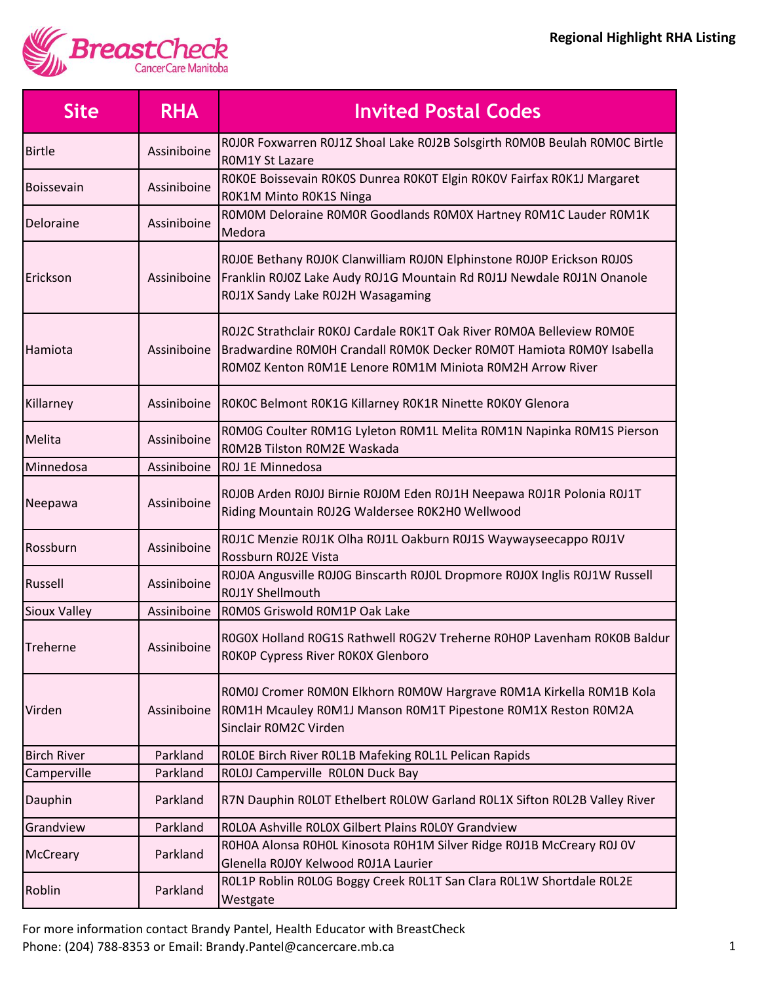

| <b>Site</b>         | <b>RHA</b>  | <b>Invited Postal Codes</b>                                                                                                                                                                                |
|---------------------|-------------|------------------------------------------------------------------------------------------------------------------------------------------------------------------------------------------------------------|
| <b>Birtle</b>       | Assiniboine | ROJOR Foxwarren ROJ1Z Shoal Lake ROJ2B Solsgirth ROMOB Beulah ROMOC Birtle<br><b>ROM1Y St Lazare</b>                                                                                                       |
| <b>Boissevain</b>   | Assiniboine | ROKOE Boissevain ROKOS Dunrea ROKOT Elgin ROKOV Fairfax ROK1J Margaret<br>ROK1M Minto ROK1S Ninga                                                                                                          |
| Deloraine           | Assiniboine | ROMOM Deloraine ROMOR Goodlands ROMOX Hartney ROM1C Lauder ROM1K<br>Medora                                                                                                                                 |
| Erickson            | Assiniboine | ROJOE Bethany ROJOK Clanwilliam ROJON Elphinstone ROJOP Erickson ROJOS<br>Franklin R0J0Z Lake Audy R0J1G Mountain Rd R0J1J Newdale R0J1N Onanole<br>ROJ1X Sandy Lake ROJ2H Wasagaming                      |
| Hamiota             | Assiniboine | R0J2C Strathclair R0K0J Cardale R0K1T Oak River R0M0A Belleview R0M0E<br>Bradwardine ROMOH Crandall ROMOK Decker ROMOT Hamiota ROMOY Isabella<br>ROMOZ Kenton ROM1E Lenore ROM1M Miniota ROM2H Arrow River |
| Killarney           | Assiniboine | ROKOC Belmont ROK1G Killarney ROK1R Ninette ROKOY Glenora                                                                                                                                                  |
| Melita              | Assiniboine | ROMOG Coulter ROM1G Lyleton ROM1L Melita ROM1N Napinka ROM1S Pierson<br>ROM2B Tilston ROM2E Waskada                                                                                                        |
| Minnedosa           | Assiniboine | ROJ 1E Minnedosa                                                                                                                                                                                           |
| Neepawa             | Assiniboine | ROJOB Arden ROJOJ Birnie ROJOM Eden ROJ1H Neepawa ROJ1R Polonia ROJ1T<br>Riding Mountain R0J2G Waldersee R0K2H0 Wellwood                                                                                   |
| Rossburn            | Assiniboine | ROJ1C Menzie ROJ1K Olha ROJ1L Oakburn ROJ1S Waywayseecappo ROJ1V<br>Rossburn R0J2E Vista                                                                                                                   |
| Russell             | Assiniboine | ROJOA Angusville ROJOG Binscarth ROJOL Dropmore ROJOX Inglis ROJ1W Russell<br>R0J1Y Shellmouth                                                                                                             |
| <b>Sioux Valley</b> | Assiniboine | ROMOS Griswold ROM1P Oak Lake                                                                                                                                                                              |
| Treherne            | Assiniboine | ROGOX Holland ROG1S Rathwell ROG2V Treherne ROHOP Lavenham ROKOB Baldur<br>ROKOP Cypress River ROKOX Glenboro                                                                                              |
| Virden              | Assiniboine | ROMOJ Cromer ROMON Elkhorn ROMOW Hargrave ROM1A Kirkella ROM1B Kola<br>ROM1H Mcauley ROM1J Manson ROM1T Pipestone ROM1X Reston ROM2A<br>Sinclair ROM2C Virden                                              |
| <b>Birch River</b>  | Parkland    | ROLOE Birch River ROL1B Mafeking ROL1L Pelican Rapids                                                                                                                                                      |
| Camperville         | Parkland    | ROLOJ Camperville ROLON Duck Bay                                                                                                                                                                           |
| Dauphin             | Parkland    | R7N Dauphin ROLOT Ethelbert ROLOW Garland ROL1X Sifton ROL2B Valley River                                                                                                                                  |
| Grandview           | Parkland    | ROLOA Ashville ROLOX Gilbert Plains ROLOY Grandview                                                                                                                                                        |
| McCreary            | Parkland    | ROHOA Alonsa ROHOL Kinosota ROH1M Silver Ridge ROJ1B McCreary ROJ OV<br>Glenella R0J0Y Kelwood R0J1A Laurier                                                                                               |
| Roblin              | Parkland    | ROL1P Roblin ROLOG Boggy Creek ROL1T San Clara ROL1W Shortdale ROL2E<br>Westgate                                                                                                                           |

For more information contact Brandy Pantel, Health Educator with BreastCheck Phone: (204) 788-8353 or Email: Brandy.Pantel@cancercare.mb.ca 1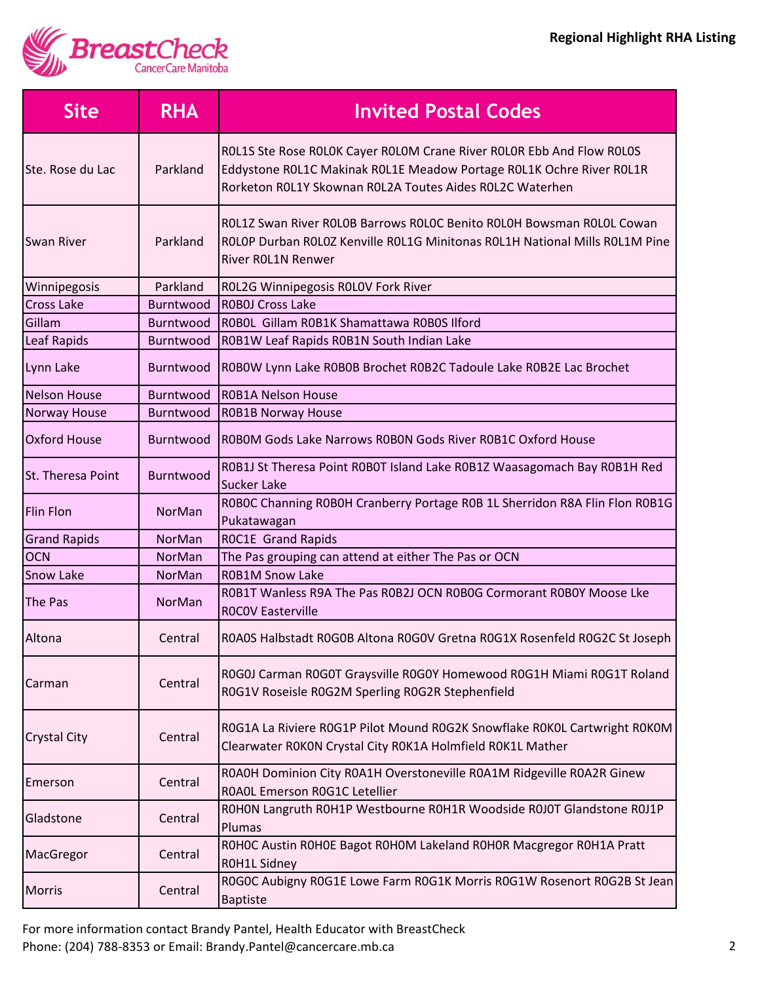

| <b>Site</b>         | <b>RHA</b>    | <b>Invited Postal Codes</b>                                                                                                                                                                               |
|---------------------|---------------|-----------------------------------------------------------------------------------------------------------------------------------------------------------------------------------------------------------|
| Ste. Rose du Lac    | Parkland      | ROL1S Ste Rose ROLOK Cayer ROLOM Crane River ROLOR Ebb And Flow ROLOS<br>Eddystone ROL1C Makinak ROL1E Meadow Portage ROL1K Ochre River ROL1R<br>Rorketon R0L1Y Skownan R0L2A Toutes Aides R0L2C Waterhen |
| <b>Swan River</b>   | Parkland      | ROL1Z Swan River ROLOB Barrows ROLOC Benito ROLOH Bowsman ROLOL Cowan<br>ROLOP Durban ROLOZ Kenville ROL1G Minitonas ROL1H National Mills ROL1M Pine<br>River ROL1N Renwer                                |
| Winnipegosis        | Parkland      | ROL2G Winnipegosis ROLOV Fork River                                                                                                                                                                       |
| <b>Cross Lake</b>   | Burntwood     | <b>ROBOJ Cross Lake</b>                                                                                                                                                                                   |
| Gillam              | Burntwood     | ROBOL Gillam ROB1K Shamattawa ROBOS Ilford                                                                                                                                                                |
| Leaf Rapids         | Burntwood     | ROB1W Leaf Rapids ROB1N South Indian Lake                                                                                                                                                                 |
| Lynn Lake           | Burntwood     | ROBOW Lynn Lake ROBOB Brochet ROB2C Tadoule Lake ROB2E Lac Brochet                                                                                                                                        |
| <b>Nelson House</b> | Burntwood     | <b>ROB1A Nelson House</b>                                                                                                                                                                                 |
| Norway House        | Burntwood     | <b>ROB1B Norway House</b>                                                                                                                                                                                 |
| <b>Oxford House</b> | Burntwood     | ROBOM Gods Lake Narrows ROBON Gods River ROB1C Oxford House                                                                                                                                               |
| St. Theresa Point   | Burntwood     | ROB1J St Theresa Point ROBOT Island Lake ROB1Z Waasagomach Bay ROB1H Red<br><b>Sucker Lake</b>                                                                                                            |
| <b>Flin Flon</b>    | NorMan        | ROBOC Channing ROBOH Cranberry Portage ROB 1L Sherridon R8A Flin Flon ROB1G<br>Pukatawagan                                                                                                                |
| <b>Grand Rapids</b> | NorMan        | ROC1E Grand Rapids                                                                                                                                                                                        |
| <b>OCN</b>          | <b>NorMan</b> | The Pas grouping can attend at either The Pas or OCN                                                                                                                                                      |
| <b>Snow Lake</b>    | NorMan        | <b>ROB1M Snow Lake</b>                                                                                                                                                                                    |
| The Pas             | NorMan        | ROB1T Wanless R9A The Pas ROB2J OCN ROBOG Cormorant ROBOY Moose Lke<br><b>ROCOV Easterville</b>                                                                                                           |
| Altona              | Central       | ROAOS Halbstadt ROGOB Altona ROGOV Gretna ROG1X Rosenfeld ROG2C St Joseph                                                                                                                                 |
| Carman              | Central       | R0G0J Carman R0G0T Graysville R0G0Y Homewood R0G1H Miami R0G1T Roland<br>R0G1V Roseisle R0G2M Sperling R0G2R Stephenfield                                                                                 |
| <b>Crystal City</b> | Central       | R0G1A La Riviere R0G1P Pilot Mound R0G2K Snowflake R0K0L Cartwright R0K0M<br>Clearwater ROKON Crystal City ROK1A Holmfield ROK1L Mather                                                                   |
| Emerson             | Central       | ROAOH Dominion City ROA1H Overstoneville ROA1M Ridgeville ROA2R Ginew<br>ROAOL Emerson ROG1C Letellier                                                                                                    |
| Gladstone           | Central       | ROHON Langruth ROH1P Westbourne ROH1R Woodside ROJOT Glandstone ROJ1P<br>Plumas                                                                                                                           |
| MacGregor           | Central       | ROHOC Austin ROHOE Bagot ROHOM Lakeland ROHOR Macgregor ROH1A Pratt<br>ROH1L Sidney                                                                                                                       |
| <b>Morris</b>       | Central       | ROGOC Aubigny ROG1E Lowe Farm ROG1K Morris ROG1W Rosenort ROG2B St Jean<br><b>Baptiste</b>                                                                                                                |

For more information contact Brandy Pantel, Health Educator with BreastCheck Phone: (204) 788-8353 or Email: Brandy.Pantel@cancercare.mb.ca 2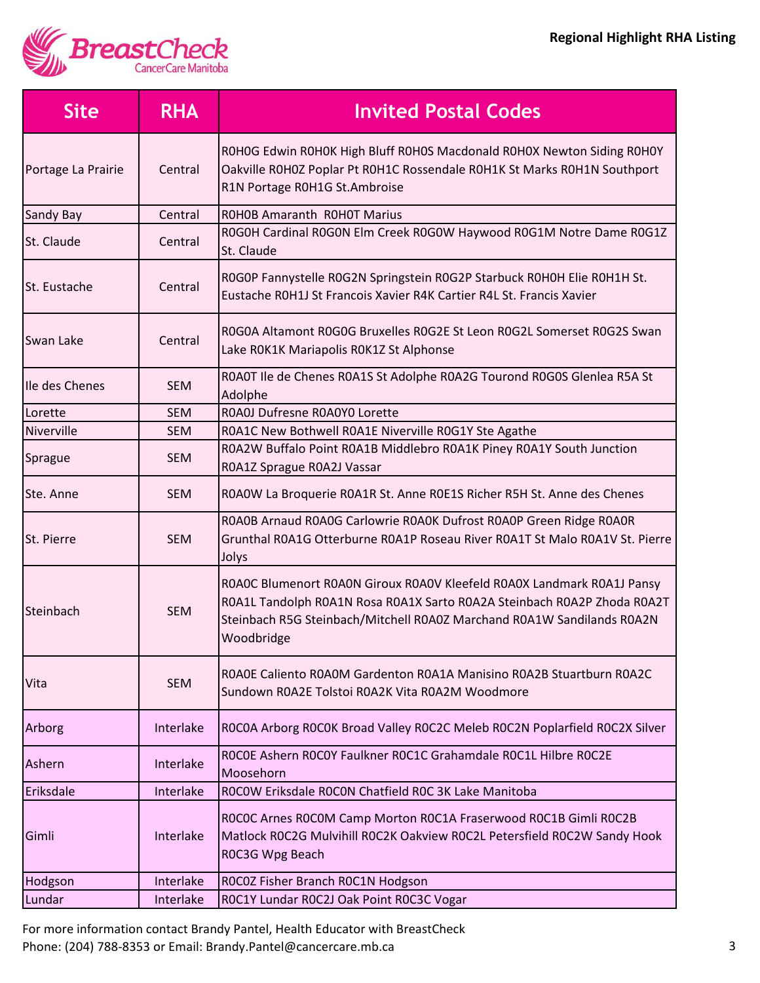

| <b>Site</b>         | <b>RHA</b> | <b>Invited Postal Codes</b>                                                                                                                                                                                                               |
|---------------------|------------|-------------------------------------------------------------------------------------------------------------------------------------------------------------------------------------------------------------------------------------------|
| Portage La Prairie  | Central    | ROHOG Edwin ROHOK High Bluff ROHOS Macdonald ROHOX Newton Siding ROHOY<br>Oakville ROHOZ Poplar Pt ROH1C Rossendale ROH1K St Marks ROH1N Southport<br>R1N Portage R0H1G St.Ambroise                                                       |
| Sandy Bay           | Central    | <b>ROHOB Amaranth ROHOT Marius</b>                                                                                                                                                                                                        |
| St. Claude          | Central    | ROGOH Cardinal ROGON Elm Creek ROGOW Haywood ROG1M Notre Dame ROG1Z<br>St. Claude                                                                                                                                                         |
| <b>St. Eustache</b> | Central    | ROGOP Fannystelle ROG2N Springstein ROG2P Starbuck ROHOH Elie ROH1H St.<br>Eustache ROH1J St Francois Xavier R4K Cartier R4L St. Francis Xavier                                                                                           |
| Swan Lake           | Central    | R0G0A Altamont R0G0G Bruxelles R0G2E St Leon R0G2L Somerset R0G2S Swan<br>Lake ROK1K Mariapolis ROK1Z St Alphonse                                                                                                                         |
| Ile des Chenes      | <b>SEM</b> | ROAOT Ile de Chenes ROA1S St Adolphe ROA2G Tourond ROGOS Glenlea R5A St<br>Adolphe                                                                                                                                                        |
| Lorette             | <b>SEM</b> | ROAOJ Dufresne ROAOYO Lorette                                                                                                                                                                                                             |
| Niverville          | <b>SEM</b> | ROA1C New Bothwell ROA1E Niverville ROG1Y Ste Agathe                                                                                                                                                                                      |
| Sprague             | <b>SEM</b> | ROA2W Buffalo Point ROA1B Middlebro ROA1K Piney ROA1Y South Junction<br>ROA1Z Sprague ROA2J Vassar                                                                                                                                        |
| Ste. Anne           | <b>SEM</b> | ROAOW La Broquerie ROA1R St. Anne ROE1S Richer R5H St. Anne des Chenes                                                                                                                                                                    |
| St. Pierre          | <b>SEM</b> | ROAOB Arnaud ROAOG Carlowrie ROAOK Dufrost ROAOP Green Ridge ROAOR<br>Grunthal R0A1G Otterburne R0A1P Roseau River R0A1T St Malo R0A1V St. Pierre<br>Jolys                                                                                |
| <b>Steinbach</b>    | <b>SEM</b> | ROAOC Blumenort ROAON Giroux ROAOV Kleefeld ROAOX Landmark ROA1J Pansy<br>R0A1L Tandolph R0A1N Rosa R0A1X Sarto R0A2A Steinbach R0A2P Zhoda R0A2T<br>Steinbach R5G Steinbach/Mitchell R0A0Z Marchand R0A1W Sandilands R0A2N<br>Woodbridge |
| Vita                | <b>SEM</b> | ROAOE Caliento ROAOM Gardenton ROA1A Manisino ROA2B Stuartburn ROA2C<br>Sundown R0A2E Tolstoi R0A2K Vita R0A2M Woodmore                                                                                                                   |
| Arborg              | Interlake  | ROCOA Arborg ROCOK Broad Valley ROC2C Meleb ROC2N Poplarfield ROC2X Silver                                                                                                                                                                |
| Ashern              | Interlake  | ROCOE Ashern ROCOY Faulkner ROC1C Grahamdale ROC1L Hilbre ROC2E<br>Moosehorn                                                                                                                                                              |
| Eriksdale           | Interlake  | ROCOW Eriksdale ROCON Chatfield ROC 3K Lake Manitoba                                                                                                                                                                                      |
| Gimli               | Interlake  | ROCOC Arnes ROCOM Camp Morton ROC1A Fraserwood ROC1B Gimli ROC2B<br>Matlock ROC2G Mulvihill ROC2K Oakview ROC2L Petersfield ROC2W Sandy Hook<br>ROC3G Wpg Beach                                                                           |
| Hodgson             | Interlake  | ROCOZ Fisher Branch ROC1N Hodgson                                                                                                                                                                                                         |
| Lundar              | Interlake  | ROC1Y Lundar ROC2J Oak Point ROC3C Vogar                                                                                                                                                                                                  |

For more information contact Brandy Pantel, Health Educator with BreastCheck Phone: (204) 788-8353 or Email: Brandy.Pantel@cancercare.mb.ca 3